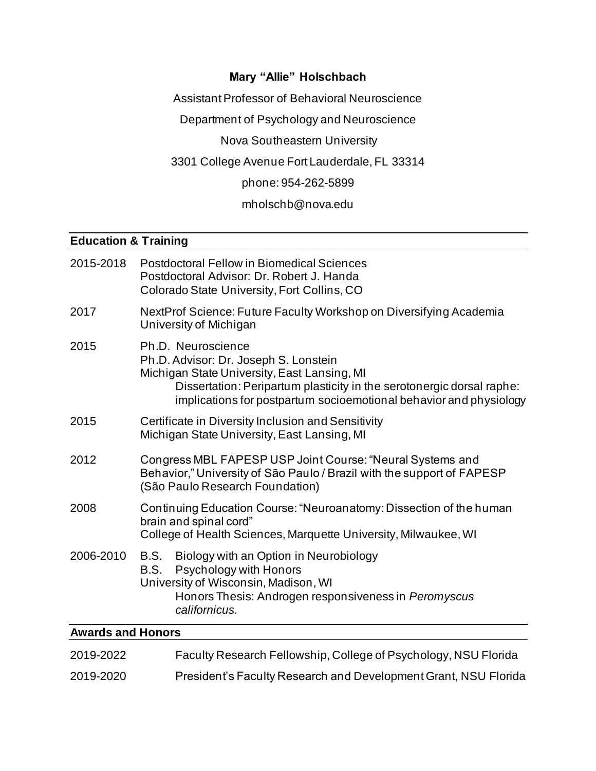# **Mary "Allie" Holschbach**

Assistant Professor of Behavioral Neuroscience

Department of Psychology and Neuroscience

Nova Southeastern University

3301 College Avenue Fort Lauderdale, FL 33314

phone: 954-262-5899

## mholschb@nova.edu

# **Education & Training**

| 2015-2018                | <b>Postdoctoral Fellow in Biomedical Sciences</b><br>Postdoctoral Advisor: Dr. Robert J. Handa<br>Colorado State University, Fort Collins, CO                                                                                                             |  |  |
|--------------------------|-----------------------------------------------------------------------------------------------------------------------------------------------------------------------------------------------------------------------------------------------------------|--|--|
| 2017                     | NextProf Science: Future Faculty Workshop on Diversifying Academia<br>University of Michigan                                                                                                                                                              |  |  |
| 2015                     | Ph.D. Neuroscience<br>Ph.D. Advisor: Dr. Joseph S. Lonstein<br>Michigan State University, East Lansing, MI<br>Dissertation: Peripartum plasticity in the serotonergic dorsal raphe:<br>implications for postpartum socioemotional behavior and physiology |  |  |
| 2015                     | Certificate in Diversity Inclusion and Sensitivity<br>Michigan State University, East Lansing, MI                                                                                                                                                         |  |  |
| 2012                     | Congress MBL FAPESP USP Joint Course: "Neural Systems and<br>Behavior," University of São Paulo / Brazil with the support of FAPESP<br>(São Paulo Research Foundation)                                                                                    |  |  |
| 2008                     | Continuing Education Course: "Neuroanatomy: Dissection of the human<br>brain and spinal cord"<br>College of Health Sciences, Marquette University, Milwaukee, WI                                                                                          |  |  |
| 2006-2010                | Biology with an Option in Neurobiology<br>B.S.<br>Psychology with Honors<br>B.S.<br>University of Wisconsin, Madison, WI<br>Honors Thesis: Androgen responsiveness in Peromyscus<br>californicus.                                                         |  |  |
| <b>Awards and Honors</b> |                                                                                                                                                                                                                                                           |  |  |

| 2019-2022 | Faculty Research Fellowship, College of Psychology, NSU Florida |
|-----------|-----------------------------------------------------------------|
| 2019-2020 | President's Faculty Research and Development Grant, NSU Florida |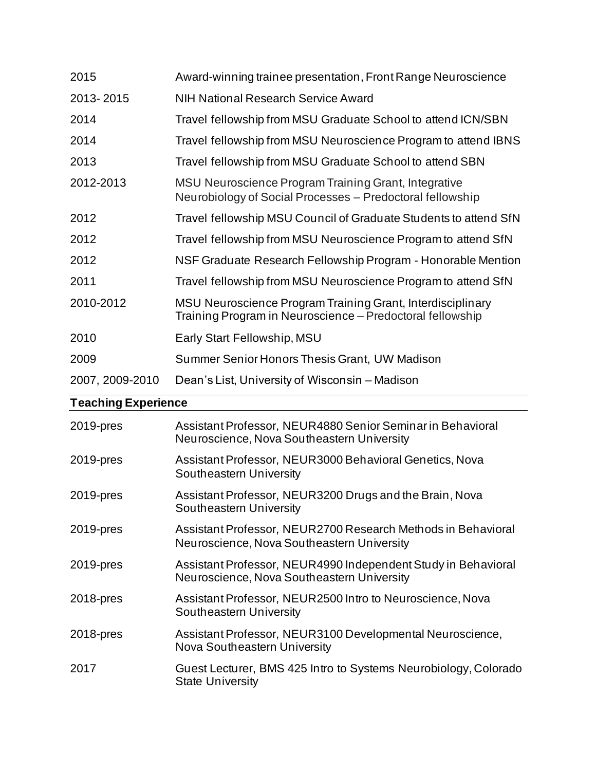| 2015            | Award-winning trainee presentation, Front Range Neuroscience                                                            |
|-----------------|-------------------------------------------------------------------------------------------------------------------------|
| 2013-2015       | <b>NIH National Research Service Award</b>                                                                              |
| 2014            | Travel fellowship from MSU Graduate School to attend ICN/SBN                                                            |
| 2014            | Travel fellowship from MSU Neuroscience Program to attend IBNS                                                          |
| 2013            | Travel fellowship from MSU Graduate School to attend SBN                                                                |
| 2012-2013       | MSU Neuroscience Program Training Grant, Integrative<br>Neurobiology of Social Processes – Predoctoral fellowship       |
| 2012            | Travel fellowship MSU Council of Graduate Students to attend SfN                                                        |
| 2012            | Travel fellowship from MSU Neuroscience Program to attend SfN                                                           |
| 2012            | NSF Graduate Research Fellowship Program - Honorable Mention                                                            |
| 2011            | Travel fellowship from MSU Neuroscience Program to attend SfN                                                           |
| 2010-2012       | MSU Neuroscience Program Training Grant, Interdisciplinary<br>Training Program in Neuroscience – Predoctoral fellowship |
| 2010            | Early Start Fellowship, MSU                                                                                             |
| 2009            | Summer Senior Honors Thesis Grant, UW Madison                                                                           |
| 2007, 2009-2010 | Dean's List, University of Wisconsin – Madison                                                                          |

# **Teaching Experience**

| 2019-pres | Assistant Professor, NEUR4880 Senior Seminar in Behavioral<br>Neuroscience, Nova Southeastern University    |
|-----------|-------------------------------------------------------------------------------------------------------------|
| 2019-pres | Assistant Professor, NEUR3000 Behavioral Genetics, Nova<br>Southeastern University                          |
| 2019-pres | Assistant Professor, NEUR3200 Drugs and the Brain, Nova<br>Southeastern University                          |
| 2019-pres | Assistant Professor, NEUR2700 Research Methods in Behavioral<br>Neuroscience, Nova Southeastern University  |
| 2019-pres | Assistant Professor, NEUR4990 Independent Study in Behavioral<br>Neuroscience, Nova Southeastern University |
| 2018-pres | Assistant Professor, NEUR2500 Intro to Neuroscience, Nova<br>Southeastern University                        |
| 2018-pres | Assistant Professor, NEUR3100 Developmental Neuroscience,<br>Nova Southeastern University                   |
| 2017      | Guest Lecturer, BMS 425 Intro to Systems Neurobiology, Colorado<br><b>State University</b>                  |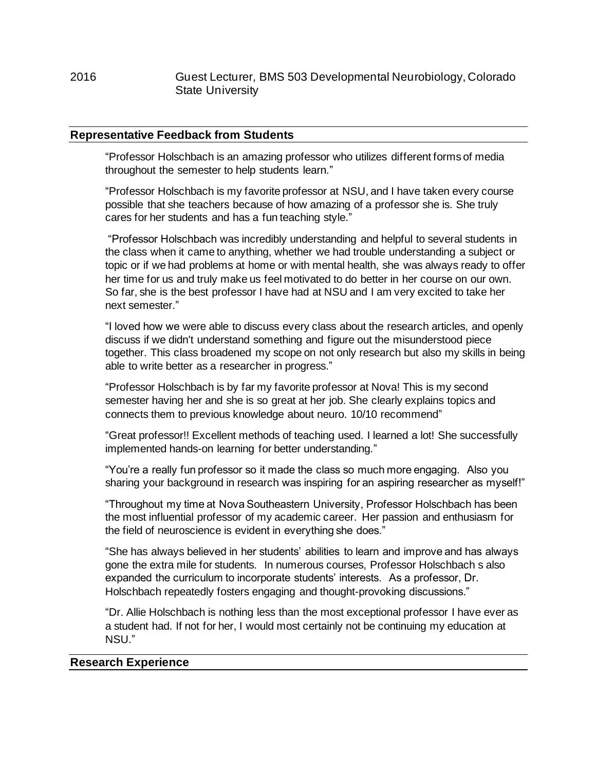## **Representative Feedback from Students**

"Professor Holschbach is an amazing professor who utilizes different forms of media throughout the semester to help students learn."

"Professor Holschbach is my favorite professor at NSU, and I have taken every course possible that she teachers because of how amazing of a professor she is. She truly cares for her students and has a fun teaching style."

"Professor Holschbach was incredibly understanding and helpful to several students in the class when it came to anything, whether we had trouble understanding a subject or topic or if we had problems at home or with mental health, she was always ready to offer her time for us and truly make us feel motivated to do better in her course on our own. So far, she is the best professor I have had at NSU and I am very excited to take her next semester."

"I loved how we were able to discuss every class about the research articles, and openly discuss if we didn't understand something and figure out the misunderstood piece together. This class broadened my scope on not only research but also my skills in being able to write better as a researcher in progress."

"Professor Holschbach is by far my favorite professor at Nova! This is my second semester having her and she is so great at her job. She clearly explains topics and connects them to previous knowledge about neuro. 10/10 recommend"

"Great professor!! Excellent methods of teaching used. I learned a lot! She successfully implemented hands-on learning for better understanding."

"You're a really fun professor so it made the class so much more engaging. Also you sharing your background in research was inspiring for an aspiring researcher as myself!"

"Throughout my time at Nova Southeastern University, Professor Holschbach has been the most influential professor of my academic career. Her passion and enthusiasm for the field of neuroscience is evident in everything she does."

"She has always believed in her students' abilities to learn and improve and has always gone the extra mile for students. In numerous courses, Professor Holschbach s also expanded the curriculum to incorporate students' interests. As a professor, Dr. Holschbach repeatedly fosters engaging and thought-provoking discussions."

"Dr. Allie Holschbach is nothing less than the most exceptional professor I have ever as a student had. If not for her, I would most certainly not be continuing my education at NSU."

#### **Research Experience**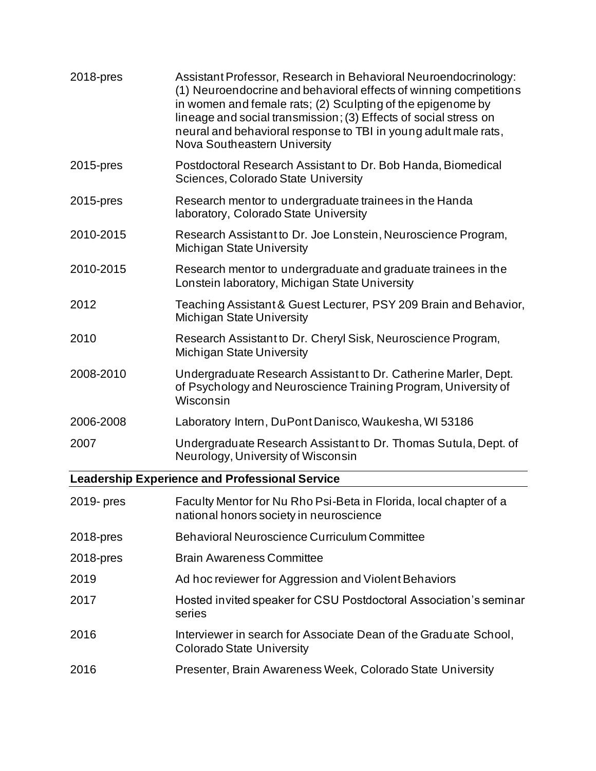| 2018-pres  | Assistant Professor, Research in Behavioral Neuroendocrinology:<br>(1) Neuroendocrine and behavioral effects of winning competitions<br>in women and female rats; (2) Sculpting of the epigenome by<br>lineage and social transmission; (3) Effects of social stress on<br>neural and behavioral response to TBI in young adult male rats,<br>Nova Southeastern University |
|------------|----------------------------------------------------------------------------------------------------------------------------------------------------------------------------------------------------------------------------------------------------------------------------------------------------------------------------------------------------------------------------|
| 2015-pres  | Postdoctoral Research Assistant to Dr. Bob Handa, Biomedical<br>Sciences, Colorado State University                                                                                                                                                                                                                                                                        |
| 2015-pres  | Research mentor to undergraduate trainees in the Handa<br>laboratory, Colorado State University                                                                                                                                                                                                                                                                            |
| 2010-2015  | Research Assistant to Dr. Joe Lonstein, Neuroscience Program,<br><b>Michigan State University</b>                                                                                                                                                                                                                                                                          |
| 2010-2015  | Research mentor to undergraduate and graduate trainees in the<br>Lonstein laboratory, Michigan State University                                                                                                                                                                                                                                                            |
| 2012       | Teaching Assistant & Guest Lecturer, PSY 209 Brain and Behavior,<br><b>Michigan State University</b>                                                                                                                                                                                                                                                                       |
| 2010       | Research Assistant to Dr. Cheryl Sisk, Neuroscience Program,<br><b>Michigan State University</b>                                                                                                                                                                                                                                                                           |
| 2008-2010  | Undergraduate Research Assistant to Dr. Catherine Marler, Dept.<br>of Psychology and Neuroscience Training Program, University of<br>Wisconsin                                                                                                                                                                                                                             |
| 2006-2008  | Laboratory Intern, DuPont Danisco, Waukesha, WI 53186                                                                                                                                                                                                                                                                                                                      |
| 2007       | Undergraduate Research Assistant to Dr. Thomas Sutula, Dept. of<br>Neurology, University of Wisconsin                                                                                                                                                                                                                                                                      |
|            | <b>Leadership Experience and Professional Service</b>                                                                                                                                                                                                                                                                                                                      |
| 2019- pres | Faculty Mentor for Nu Rho Psi-Beta in Florida, local chapter of a<br>national honors society in neuroscience                                                                                                                                                                                                                                                               |
| 2018-pres  | Behavioral Neuroscience Curriculum Committee                                                                                                                                                                                                                                                                                                                               |
| 2018-pres  | <b>Brain Awareness Committee</b>                                                                                                                                                                                                                                                                                                                                           |
| 2019       | Ad hoc reviewer for Aggression and Violent Behaviors                                                                                                                                                                                                                                                                                                                       |
| 2017       | Hosted invited speaker for CSU Postdoctoral Association's seminar<br>series                                                                                                                                                                                                                                                                                                |
| 2016       | Interviewer in search for Associate Dean of the Graduate School,<br><b>Colorado State University</b>                                                                                                                                                                                                                                                                       |
| 2016       | Presenter, Brain Awareness Week, Colorado State University                                                                                                                                                                                                                                                                                                                 |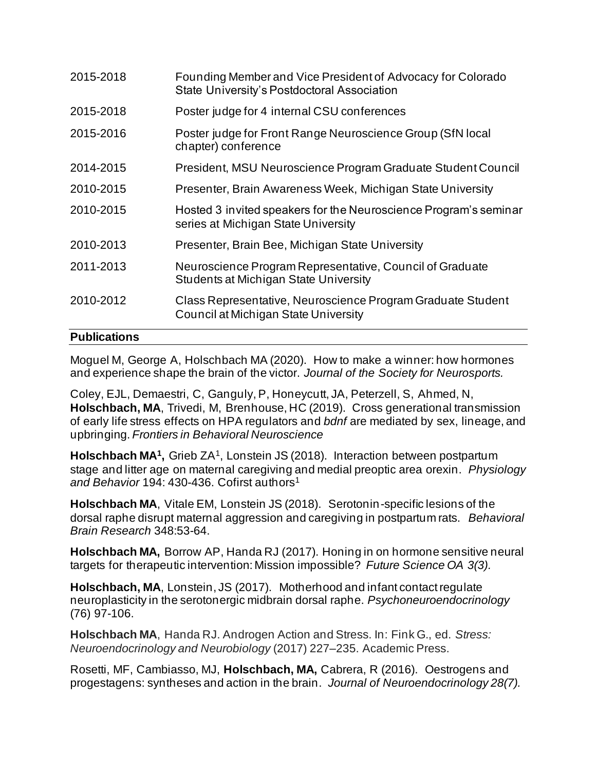| Students at Michigan State University<br>Class Representative, Neuroscience Program Graduate Student<br>Council at Michigan State University |
|----------------------------------------------------------------------------------------------------------------------------------------------|
|                                                                                                                                              |
| Neuroscience Program Representative, Council of Graduate                                                                                     |
| Presenter, Brain Bee, Michigan State University                                                                                              |
| Hosted 3 invited speakers for the Neuroscience Program's seminar<br>series at Michigan State University                                      |
| Presenter, Brain Awareness Week, Michigan State University                                                                                   |
| President, MSU Neuroscience Program Graduate Student Council                                                                                 |
| Poster judge for Front Range Neuroscience Group (SfN local                                                                                   |
| Poster judge for 4 internal CSU conferences                                                                                                  |
| Founding Member and Vice President of Advocacy for Colorado<br>State University's Postdoctoral Association                                   |
|                                                                                                                                              |

# **Publications**

Moguel M, George A, Holschbach MA (2020). How to make a winner: how hormones and experience shape the brain of the victor. *Journal of the Society for Neurosports.*

Coley, EJL, Demaestri, C, Ganguly, P, Honeycutt, JA, Peterzell, S, Ahmed, N, **Holschbach, MA**, Trivedi, M, Brenhouse, HC (2019). Cross generational transmission of early life stress effects on HPA regulators and *bdnf* are mediated by sex, lineage, and upbringing. *Frontiers in Behavioral Neuroscience* 

Holschbach MA<sup>1</sup>, Grieb ZA<sup>1</sup>, Lonstein JS (2018). Interaction between postpartum stage and litter age on maternal caregiving and medial preoptic area orexin. *Physiology*  and Behavior 194: 430-436. Cofirst authors<sup>1</sup>

**Holschbach MA**, Vitale EM, Lonstein JS (2018). Serotonin-specific lesions of the dorsal raphe disrupt maternal aggression and caregiving in postpartum rats. *Behavioral Brain Research* 348:53-64.

**Holschbach MA,** Borrow AP, Handa RJ (2017). Honing in on hormone sensitive neural targets for therapeutic intervention: Mission impossible? *Future Science OA 3(3).*

**Holschbach, MA**, Lonstein, JS (2017). Motherhood and infant contact regulate neuroplasticity in the serotonergic midbrain dorsal raphe. *Psychoneuroendocrinology*  (76) 97-106.

**Holschbach MA**, Handa RJ. Androgen Action and Stress. In: Fink G., ed. *Stress: Neuroendocrinology and Neurobiology* (2017) 227–235. Academic Press.

Rosetti, MF, Cambiasso, MJ, **Holschbach, MA,** Cabrera, R (2016). Oestrogens and progestagens: syntheses and action in the brain. *Journal of Neuroendocrinology 28(7).*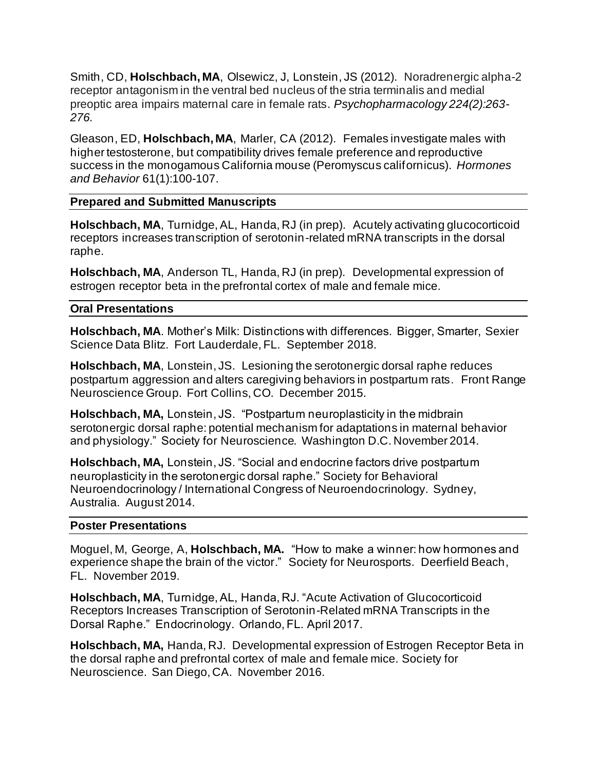Smith, CD, **Holschbach, MA**, Olsewicz, J, Lonstein, JS (2012). Noradrenergic alpha-2 receptor antagonism in the ventral bed nucleus of the stria terminalis and medial preoptic area impairs maternal care in female rats. *Psychopharmacology 224(2):263- 276.*

Gleason, ED, **Holschbach, MA**, Marler, CA (2012). Females investigate males with higher testosterone, but compatibility drives female preference and reproductive success in the monogamous California mouse (Peromyscus californicus). *Hormones and Behavior* 61(1):100-107.

## **Prepared and Submitted Manuscripts**

**Holschbach, MA**, Turnidge, AL, Handa, RJ (in prep). Acutely activating glucocorticoid receptors increases transcription of serotonin-related mRNA transcripts in the dorsal raphe.

**Holschbach, MA**, Anderson TL, Handa, RJ (in prep). Developmental expression of estrogen receptor beta in the prefrontal cortex of male and female mice.

## **Oral Presentations**

**Holschbach, MA**. Mother's Milk: Distinctions with differences. Bigger, Smarter, Sexier Science Data Blitz. Fort Lauderdale, FL. September 2018.

**Holschbach, MA**, Lonstein, JS. Lesioning the serotonergic dorsal raphe reduces postpartum aggression and alters caregiving behaviors in postpartum rats. Front Range Neuroscience Group. Fort Collins, CO. December 2015.

**Holschbach, MA,** Lonstein, JS. "Postpartum neuroplasticity in the midbrain serotonergic dorsal raphe: potential mechanism for adaptations in maternal behavior and physiology." Society for Neuroscience. Washington D.C. November 2014.

**Holschbach, MA,** Lonstein, JS. "Social and endocrine factors drive postpartum neuroplasticity in the serotonergic dorsal raphe." Society for Behavioral Neuroendocrinology / International Congress of Neuroendocrinology. Sydney, Australia. August 2014.

## **Poster Presentations**

Moguel, M, George, A, **Holschbach, MA.** "How to make a winner: how hormones and experience shape the brain of the victor." Society for Neurosports. Deerfield Beach, FL. November 2019.

**Holschbach, MA**, Turnidge, AL, Handa, RJ. "Acute Activation of Glucocorticoid Receptors Increases Transcription of Serotonin-Related mRNA Transcripts in the Dorsal Raphe." Endocrinology. Orlando, FL. April 2017.

**Holschbach, MA,** Handa, RJ. Developmental expression of Estrogen Receptor Beta in the dorsal raphe and prefrontal cortex of male and female mice. Society for Neuroscience. San Diego, CA. November 2016.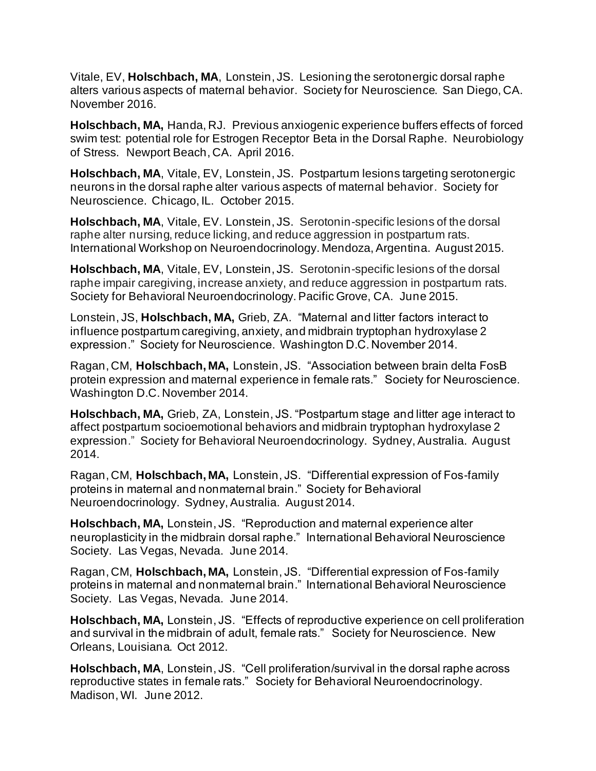Vitale, EV, **Holschbach, MA**, Lonstein, JS. Lesioning the serotonergic dorsal raphe alters various aspects of maternal behavior. Society for Neuroscience. San Diego, CA. November 2016.

**Holschbach, MA,** Handa, RJ. Previous anxiogenic experience buffers effects of forced swim test: potential role for Estrogen Receptor Beta in the Dorsal Raphe. Neurobiology of Stress. Newport Beach, CA. April 2016.

**Holschbach, MA**, Vitale, EV, Lonstein, JS. Postpartum lesions targeting serotonergic neurons in the dorsal raphe alter various aspects of maternal behavior. Society for Neuroscience. Chicago, IL. October 2015.

**Holschbach, MA**, Vitale, EV. Lonstein, JS. Serotonin-specific lesions of the dorsal raphe alter nursing, reduce licking, and reduce aggression in postpartum rats. International Workshop on Neuroendocrinology. Mendoza, Argentina. August 2015.

**Holschbach, MA**, Vitale, EV, Lonstein, JS. Serotonin-specific lesions of the dorsal raphe impair caregiving, increase anxiety, and reduce aggression in postpartum rats. Society for Behavioral Neuroendocrinology. Pacific Grove, CA. June 2015.

Lonstein, JS, **Holschbach, MA,** Grieb, ZA."Maternal and litter factors interact to influence postpartum caregiving, anxiety, and midbrain tryptophan hydroxylase 2 expression." Society for Neuroscience. Washington D.C. November 2014.

Ragan, CM, **Holschbach, MA,** Lonstein, JS. "Association between brain delta FosB protein expression and maternal experience in female rats." Society for Neuroscience. Washington D.C. November 2014.

**Holschbach, MA,** Grieb, ZA, Lonstein, JS. "Postpartum stage and litter age interact to affect postpartum socioemotional behaviors and midbrain tryptophan hydroxylase 2 expression." Society for Behavioral Neuroendocrinology. Sydney, Australia. August 2014.

Ragan, CM, **Holschbach, MA,** Lonstein, JS. "Differential expression of Fos-family proteins in maternal and nonmaternal brain." Society for Behavioral Neuroendocrinology. Sydney, Australia. August 2014.

**Holschbach, MA,** Lonstein, JS. "Reproduction and maternal experience alter neuroplasticity in the midbrain dorsal raphe." International Behavioral Neuroscience Society. Las Vegas, Nevada. June 2014.

Ragan, CM, **Holschbach, MA,** Lonstein, JS. "Differential expression of Fos-family proteins in maternal and nonmaternal brain." International Behavioral Neuroscience Society. Las Vegas, Nevada. June 2014.

**Holschbach, MA,** Lonstein, JS. "Effects of reproductive experience on cell proliferation and survival in the midbrain of adult, female rats." Society for Neuroscience. New Orleans, Louisiana. Oct 2012.

**Holschbach, MA**, Lonstein, JS. "Cell proliferation/survival in the dorsal raphe across reproductive states in female rats." Society for Behavioral Neuroendocrinology. Madison, WI. June 2012.